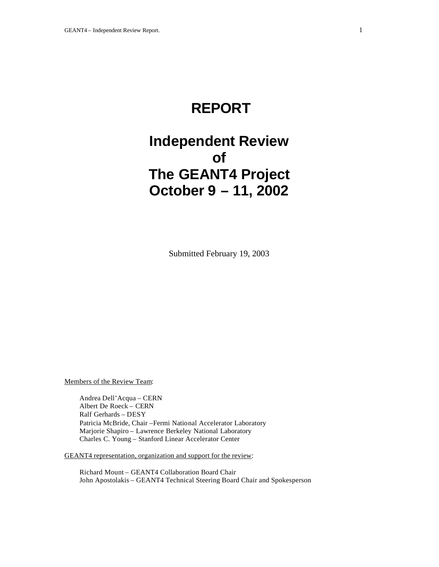# **REPORT**

# **Independent Review of The GEANT4 Project October 9 – 11, 2002**

Submitted February 19, 2003

Members of the Review Team:

Andrea Dell'Acqua – CERN Albert De Roeck – CERN Ralf Gerhards – DESY Patricia McBride, Chair –Fermi National Accelerator Laboratory Marjorie Shapiro – Lawrence Berkeley National Laboratory Charles C. Young – Stanford Linear Accelerator Center

GEANT4 representation, organization and support for the review:

Richard Mount – GEANT4 Collaboration Board Chair John Apostolakis – GEANT4 Technical Steering Board Chair and Spokesperson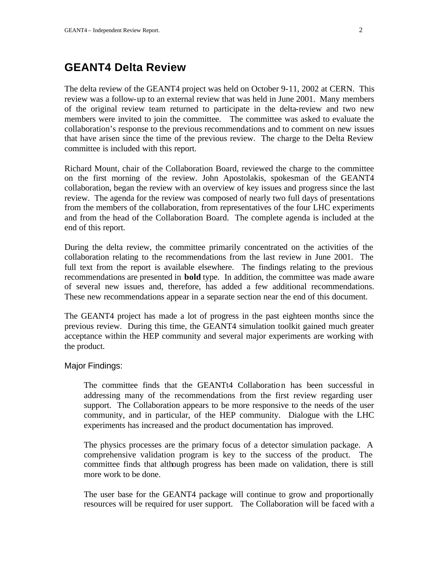# **GEANT4 Delta Review**

The delta review of the GEANT4 project was held on October 9-11, 2002 at CERN. This review was a follow-up to an external review that was held in June 2001. Many members of the original review team returned to participate in the delta-review and two new members were invited to join the committee. The committee was asked to evaluate the collaboration's response to the previous recommendations and to comment on new issues that have arisen since the time of the previous review. The charge to the Delta Review committee is included with this report.

Richard Mount, chair of the Collaboration Board, reviewed the charge to the committee on the first morning of the review. John Apostolakis, spokesman of the GEANT4 collaboration, began the review with an overview of key issues and progress since the last review. The agenda for the review was composed of nearly two full days of presentations from the members of the collaboration, from representatives of the four LHC experiments and from the head of the Collaboration Board. The complete agenda is included at the end of this report.

During the delta review, the committee primarily concentrated on the activities of the collaboration relating to the recommendations from the last review in June 2001. The full text from the report is available elsewhere. The findings relating to the previous recommendations are presented in **bold** type. In addition, the committee was made aware of several new issues and, therefore, has added a few additional recommendations. These new recommendations appear in a separate section near the end of this document.

The GEANT4 project has made a lot of progress in the past eighteen months since the previous review. During this time, the GEANT4 simulation toolkit gained much greater acceptance within the HEP community and several major experiments are working with the product.

#### Major Findings:

The committee finds that the GEANTt4 Collaboration has been successful in addressing many of the recommendations from the first review regarding user support. The Collaboration appears to be more responsive to the needs of the user community, and in particular, of the HEP community. Dialogue with the LHC experiments has increased and the product documentation has improved.

The physics processes are the primary focus of a detector simulation package. A comprehensive validation program is key to the success of the product. The committee finds that although progress has been made on validation, there is still more work to be done.

The user base for the GEANT4 package will continue to grow and proportionally resources will be required for user support. The Collaboration will be faced with a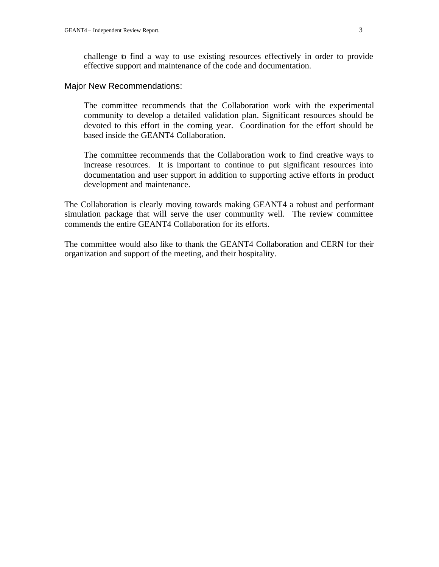challenge to find a way to use existing resources effectively in order to provide effective support and maintenance of the code and documentation.

#### Major New Recommendations:

The committee recommends that the Collaboration work with the experimental community to develop a detailed validation plan. Significant resources should be devoted to this effort in the coming year. Coordination for the effort should be based inside the GEANT4 Collaboration.

The committee recommends that the Collaboration work to find creative ways to increase resources. It is important to continue to put significant resources into documentation and user support in addition to supporting active efforts in product development and maintenance.

The Collaboration is clearly moving towards making GEANT4 a robust and performant simulation package that will serve the user community well. The review committee commends the entire GEANT4 Collaboration for its efforts.

The committee would also like to thank the GEANT4 Collaboration and CERN for their organization and support of the meeting, and their hospitality.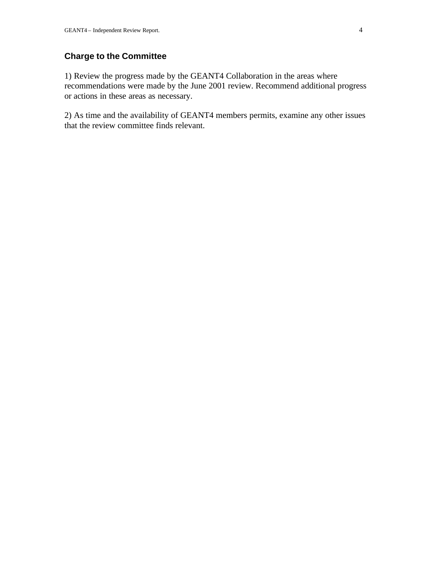# **Charge to the Committee**

1) Review the progress made by the GEANT4 Collaboration in the areas where recommendations were made by the June 2001 review. Recommend additional progress or actions in these areas as necessary.

2) As time and the availability of GEANT4 members permits, examine any other issues that the review committee finds relevant.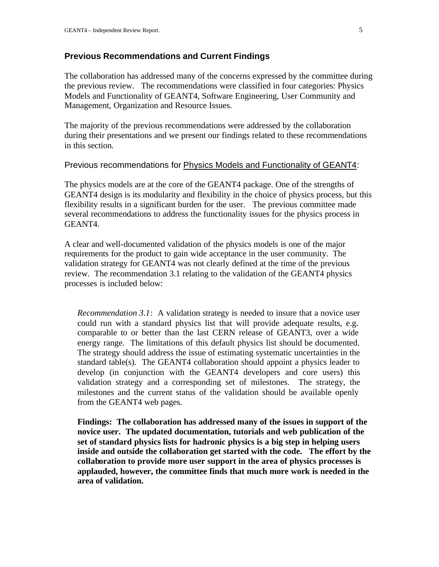#### **Previous Recommendations and Current Findings**

The collaboration has addressed many of the concerns expressed by the committee during the previous review. The recommendations were classified in four categories: Physics Models and Functionality of GEANT4, Software Engineering, User Community and Management, Organization and Resource Issues.

The majority of the previous recommendations were addressed by the collaboration during their presentations and we present our findings related to these recommendations in this section.

#### Previous recommendations for Physics Models and Functionality of GEANT4:

The physics models are at the core of the GEANT4 package. One of the strengths of GEANT4 design is its modularity and flexibility in the choice of physics process, but this flexibility results in a significant burden for the user. The previous committee made several recommendations to address the functionality issues for the physics process in GEANT4.

A clear and well-documented validation of the physics models is one of the major requirements for the product to gain wide acceptance in the user community. The validation strategy for GEANT4 was not clearly defined at the time of the previous review. The recommendation 3.1 relating to the validation of the GEANT4 physics processes is included below:

*Recommendation 3.1*: A validation strategy is needed to insure that a novice user could run with a standard physics list that will provide adequate results, e.g. comparable to or better than the last CERN release of GEANT3, over a wide energy range. The limitations of this default physics list should be documented. The strategy should address the issue of estimating systematic uncertainties in the standard table(s). The GEANT4 collaboration should appoint a physics leader to develop (in conjunction with the GEANT4 developers and core users) this validation strategy and a corresponding set of milestones. The strategy, the milestones and the current status of the validation should be available openly from the GEANT4 web pages.

**Findings: The collaboration has addressed many of the issues in support of the novice user. The updated documentation, tutorials and web publication of the set of standard physics lists for hadronic physics is a big step in helping users inside and outside the collaboration get started with the code. The effort by the collaboration to provide more user support in the area of physics processes is applauded, however, the committee finds that much more work is needed in the area of validation.**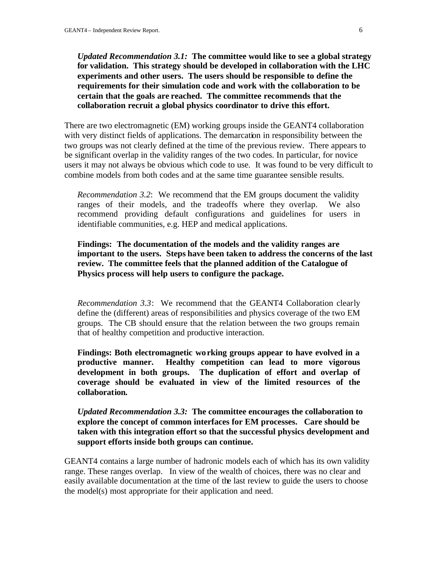*Updated Recommendation 3.1:* **The committee would like to see a global strategy for validation. This strategy should be developed in collaboration with the LHC experiments and other users. The users should be responsible to define the requirements for their simulation code and work with the collaboration to be certain that the goals are reached. The committee recommends that the collaboration recruit a global physics coordinator to drive this effort.**

There are two electromagnetic (EM) working groups inside the GEANT4 collaboration with very distinct fields of applications. The demarcation in responsibility between the two groups was not clearly defined at the time of the previous review. There appears to be significant overlap in the validity ranges of the two codes. In particular, for novice users it may not always be obvious which code to use. It was found to be very difficult to combine models from both codes and at the same time guarantee sensible results.

*Recommendation 3.2*: We recommend that the EM groups document the validity ranges of their models, and the tradeoffs where they overlap. We also recommend providing default configurations and guidelines for users in identifiable communities, e.g. HEP and medical applications.

**Findings: The documentation of the models and the validity ranges are important to the users. Steps have been taken to address the concerns of the last review. The committee feels that the planned addition of the Catalogue of Physics process will help users to configure the package.**

*Recommendation 3.3*: We recommend that the GEANT4 Collaboration clearly define the (different) areas of responsibilities and physics coverage of the two EM groups. The CB should ensure that the relation between the two groups remain that of healthy competition and productive interaction.

**Findings: Both electromagnetic working groups appear to have evolved in a productive manner. Healthy competition can lead to more vigorous development in both groups. The duplication of effort and overlap of coverage should be evaluated in view of the limited resources of the collaboration.**

*Updated Recommendation 3.3:* **The committee encourages the collaboration to explore the concept of common interfaces for EM processes. Care should be taken with this integration effort so that the successful physics development and support efforts inside both groups can continue.** 

GEANT4 contains a large number of hadronic models each of which has its own validity range. These ranges overlap. In view of the wealth of choices, there was no clear and easily available documentation at the time of the last review to guide the users to choose the model(s) most appropriate for their application and need.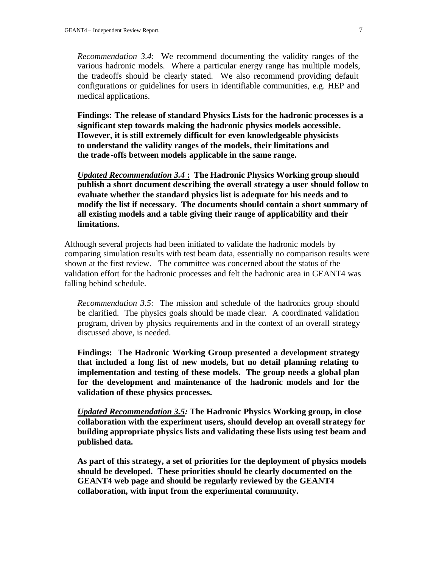*Recommendation 3.4*: We recommend documenting the validity ranges of the various hadronic models. Where a particular energy range has multiple models, the tradeoffs should be clearly stated. We also recommend providing default configurations or guidelines for users in identifiable communities, e.g. HEP and medical applications.

**Findings: The release of standard Physics Lists for the hadronic processes is a significant step towards making the hadronic physics models accessible. However, it is still extremely difficult for even knowledgeable physicists to understand the validity ranges of the models, their limitations and the trade -offs between models applicable in the same range.**

*Updated Recommendation 3.4* **: The Hadronic Physics Working group should publish a short document describing the overall strategy a user should follow to evaluate whether the standard physics list is adequate for his needs and to modify the list if necessary. The documents should contain a short summary of all existing models and a table giving their range of applicability and their limitations.**

Although several projects had been initiated to validate the hadronic models by comparing simulation results with test beam data, essentially no comparison results were shown at the first review. The committee was concerned about the status of the validation effort for the hadronic processes and felt the hadronic area in GEANT4 was falling behind schedule.

*Recommendation 3.5*: The mission and schedule of the hadronics group should be clarified. The physics goals should be made clear. A coordinated validation program, driven by physics requirements and in the context of an overall strategy discussed above, is needed.

**Findings: The Hadronic Working Group presented a development strategy that included a long list of new models, but no detail planning relating to implementation and testing of these models. The group needs a global plan for the development and maintenance of the hadronic models and for the validation of these physics processes.** 

*Updated Recommendation 3.5:* **The Hadronic Physics Working group, in close collaboration with the experiment users, should develop an overall strategy for building appropriate physics lists and validating these lists using test beam and published data.** 

**As part of this strategy, a set of priorities for the deployment of physics models should be developed. These priorities should be clearly documented on the GEANT4 web page and should be regularly reviewed by the GEANT4 collaboration, with input from the experimental community.**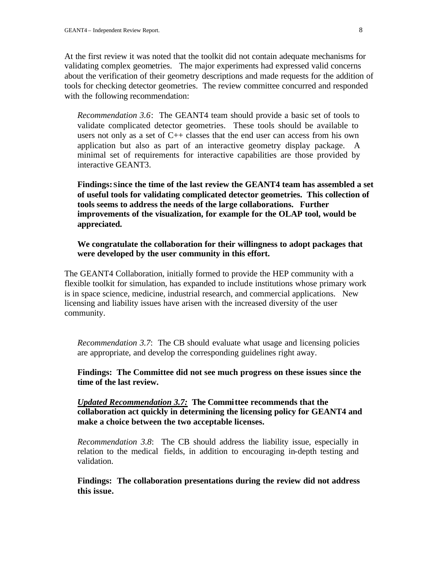At the first review it was noted that the toolkit did not contain adequate mechanisms for validating complex geometries. The major experiments had expressed valid concerns about the verification of their geometry descriptions and made requests for the addition of tools for checking detector geometries. The review committee concurred and responded with the following recommendation:

*Recommendation 3.6*: The GEANT4 team should provide a basic set of tools to validate complicated detector geometries. These tools should be available to users not only as a set of  $C++$  classes that the end user can access from his own application but also as part of an interactive geometry display package. A minimal set of requirements for interactive capabilities are those provided by interactive GEANT3.

**Findings: Since the time of the last review the GEANT4 team has assembled a set of useful tools for validating complicated detector geometries. This collection of tools seems to address the needs of the large collaborations. Further improvements of the visualization, for example for the OLAP tool, would be appreciated.**

**We congratulate the collaboration for their willingness to adopt packages that were developed by the user community in this effort.**

The GEANT4 Collaboration, initially formed to provide the HEP community with a flexible toolkit for simulation, has expanded to include institutions whose primary work is in space science, medicine, industrial research, and commercial applications. New licensing and liability issues have arisen with the increased diversity of the user community.

*Recommendation 3.7*: The CB should evaluate what usage and licensing policies are appropriate, and develop the corresponding guidelines right away.

**Findings: The Committee did not see much progress on these issues since the time of the last review.**

*Updated Recommendation 3.7:* **The Committee recommends that the collaboration act quickly in determining the licensing policy for GEANT4 and make a choice between the two acceptable licenses.**

*Recommendation 3.8*: The CB should address the liability issue, especially in relation to the medical fields, in addition to encouraging in-depth testing and validation.

**Findings: The collaboration presentations during the review did not address this issue.**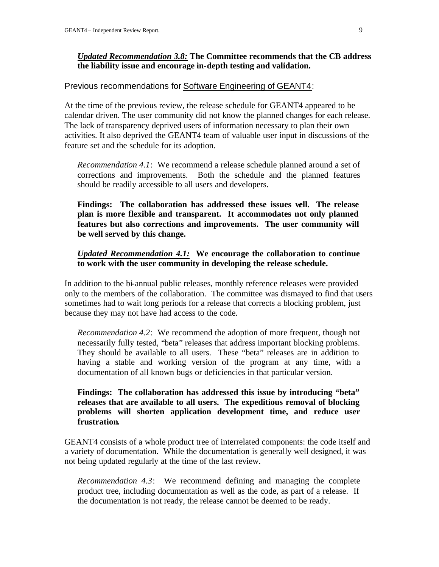#### *Updated Recommendation 3.8:* **The Committee recommends that the CB address the liability issue and encourage in-depth testing and validation.**

#### Previous recommendations for Software Engineering of GEANT4:

At the time of the previous review, the release schedule for GEANT4 appeared to be calendar driven. The user community did not know the planned changes for each release. The lack of transparency deprived users of information necessary to plan their own activities. It also deprived the GEANT4 team of valuable user input in discussions of the feature set and the schedule for its adoption.

*Recommendation 4.1*: We recommend a release schedule planned around a set of corrections and improvements. Both the schedule and the planned features should be readily accessible to all users and developers.

**Findings: The collaboration has addressed these issues well. The release plan is more flexible and transparent. It accommodates not only planned features but also corrections and improvements. The user community will be well served by this change.** 

#### *Updated Recommendation 4.1:* **We encourage the collaboration to continue to work with the user community in developing the release schedule.**

In addition to the bi-annual public releases, monthly reference releases were provided only to the members of the collaboration. The committee was dismayed to find that users sometimes had to wait long periods for a release that corrects a blocking problem, just because they may not have had access to the code.

*Recommendation 4.2*: We recommend the adoption of more frequent, though not necessarily fully tested, "beta" releases that address important blocking problems. They should be available to all users. These "beta" releases are in addition to having a stable and working version of the program at any time, with a documentation of all known bugs or deficiencies in that particular version.

# **Findings: The collaboration has addressed this issue by introducing "beta" releases that are available to all users. The expeditious removal of blocking problems will shorten application development time, and reduce user frustration.**

GEANT4 consists of a whole product tree of interrelated components: the code itself and a variety of documentation. While the documentation is generally well designed, it was not being updated regularly at the time of the last review.

*Recommendation 4.3*: We recommend defining and managing the complete product tree, including documentation as well as the code, as part of a release. If the documentation is not ready, the release cannot be deemed to be ready.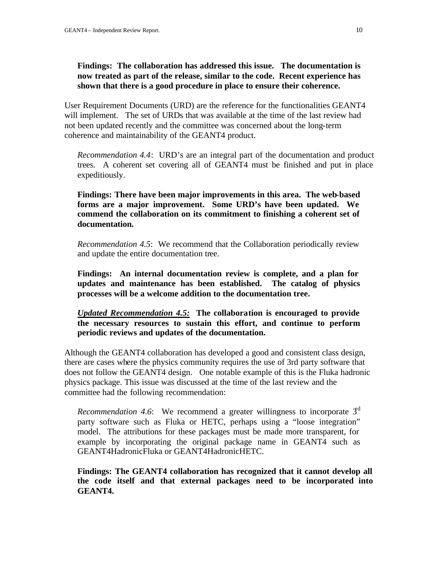# **Findings: The collaboration has addressed this issue. The documentation is now treated as part of the release, similar to the code. Recent experience has shown that there is a good procedure in place to ensure their coherence.**

User Requirement Documents (URD) are the reference for the functionalities GEANT4 will implement. The set of URDs that was available at the time of the last review had not been updated recently and the committee was concerned about the long-term coherence and maintainability of the GEANT4 product.

*Recommendation 4.4*: URD's are an integral part of the documentation and product trees. A coherent set covering all of GEANT4 must be finished and put in place expeditiously.

**Findings: There have been major improvements in this area. The web-based forms are a major improvement. Some URD's have been updated. We commend the collaboration on its commitment to finishing a coherent set of documentation.** 

*Recommendation 4.5*: We recommend that the Collaboration periodically review and update the entire documentation tree.

**Findings: An internal documentation review is complete, and a plan for updates and maintenance has been established. The catalog of physics processes will be a welcome addition to the documentation tree.** 

*Updated Recommendation 4.5:* **The collaboration is encouraged to provide the necessary resources to sustain this effort, and continue to perform periodic reviews and updates of the documentation.**

Although the GEANT4 collaboration has developed a good and consistent class design, there are cases where the physics community requires the use of 3rd party software that does not follow the GEANT4 design. One notable example of this is the Fluka hadronic physics package. This issue was discussed at the time of the last review and the committee had the following recommendation:

*Recommendation 4.6*: We recommend a greater willingness to incorporate  $3<sup>d</sup>$ party software such as Fluka or HETC, perhaps using a "loose integration" model. The attributions for these packages must be made more transparent, for example by incorporating the original package name in GEANT4 such as GEANT4HadronicFluka or GEANT4HadronicHETC.

**Findings: The GEANT4 collaboration has recognized that it cannot develop all the code itself and that external packages need to be incorporated into GEANT4.**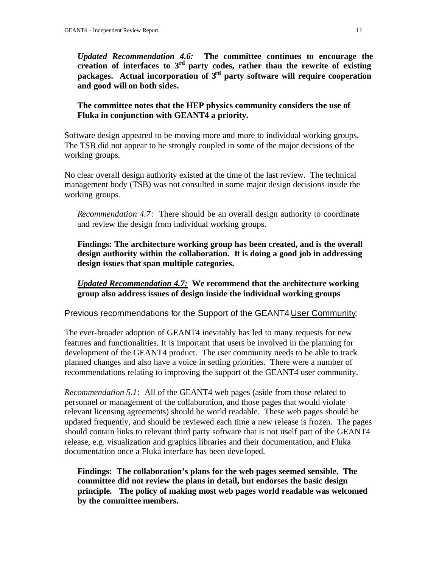*Updated Recommendation 4.6:* **The committee continues to encourage the** creation of interfaces to 3<sup>rd</sup> party codes, rather than the rewrite of existing **packages. Actual incorporation of 3rd party software will require cooperation and good will on both sides.** 

# **The committee notes that the HEP physics community considers the use of Fluka in conjunction with GEANT4 a priority.**

Software design appeared to be moving more and more to individual working groups. The TSB did not appear to be strongly coupled in some of the major decisions of the working groups.

No clear overall design authority existed at the time of the last review. The technical management body (TSB) was not consulted in some major design decisions inside the working groups.

*Recommendation 4.7*: There should be an overall design authority to coordinate and review the design from individual working groups.

**Findings: The architecture working group has been created, and is the overall design authority within the collaboration. It is doing a good job in addressing design issues that span multiple categories.** 

*Updated Recommendation 4.7:* **We recommend that the architecture working group also address issues of design inside the individual working groups**

Previous recommendations for the Support of the GEANT4 User Community:

The ever-broader adoption of GEANT4 inevitably has led to many requests for new features and functionalities. It is important that users be involved in the planning for development of the GEANT4 product. The user community needs to be able to track planned changes and also have a voice in setting priorities. There were a number of recommendations relating to improving the support of the GEANT4 user community.

*Recommendation 5.1*: All of the GEANT4 web pages (aside from those related to personnel or management of the collaboration, and those pages that would violate relevant licensing agreements) should be world readable. These web pages should be updated frequently, and should be reviewed each time a new release is frozen. The pages should contain links to relevant third party software that is not itself part of the GEANT4 release, e.g. visualization and graphics libraries and their documentation, and Fluka documentation once a Fluka interface has been deve loped.

**Findings: The collaboration's plans for the web pages seemed sensible. The committee did not review the plans in detail, but endorses the basic design principle. The policy of making most web pages world readable was welcomed by the committee members.**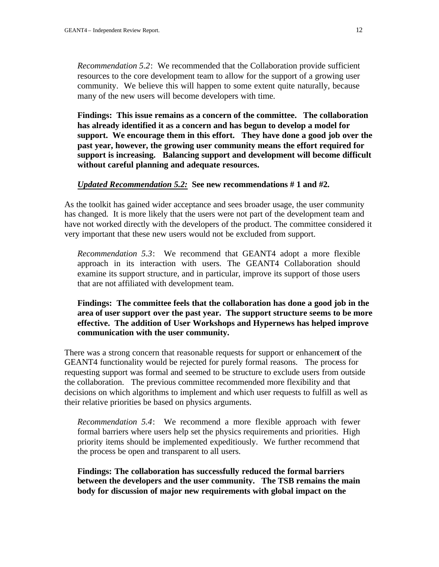*Recommendation 5.2*: We recommended that the Collaboration provide sufficient resources to the core development team to allow for the support of a growing user community. We believe this will happen to some extent quite naturally, because many of the new users will become developers with time.

**Findings: This issue remains as a concern of the committee. The collaboration has already identified it as a concern and has begun to develop a model for support. We encourage them in this effort. They have done a good job over the past year, however, the growing user community means the effort required for support is increasing. Balancing support and development will become difficult without careful planning and adequate resources.** 

#### *Updated Recommendation 5.2:* **See new recommendations # 1 and #2.**

As the toolkit has gained wider acceptance and sees broader usage, the user community has changed. It is more likely that the users were not part of the development team and have not worked directly with the developers of the product. The committee considered it very important that these new users would not be excluded from support.

*Recommendation 5.3*: We recommend that GEANT4 adopt a more flexible approach in its interaction with users. The GEANT4 Collaboration should examine its support structure, and in particular, improve its support of those users that are not affiliated with development team.

# **Findings: The committee feels that the collaboration has done a good job in the area of user support over the past year. The support structure seems to be more effective. The addition of User Workshops and Hypernews has helped improve communication with the user community.**

There was a strong concern that reasonable requests for support or enhancement of the GEANT4 functionality would be rejected for purely formal reasons. The process for requesting support was formal and seemed to be structure to exclude users from outside the collaboration. The previous committee recommended more flexibility and that decisions on which algorithms to implement and which user requests to fulfill as well as their relative priorities be based on physics arguments.

*Recommendation 5.4*: We recommend a more flexible approach with fewer formal barriers where users help set the physics requirements and priorities. High priority items should be implemented expeditiously. We further recommend that the process be open and transparent to all users.

**Findings: The collaboration has successfully reduced the formal barriers between the developers and the user community. The TSB remains the main body for discussion of major new requirements with global impact on the**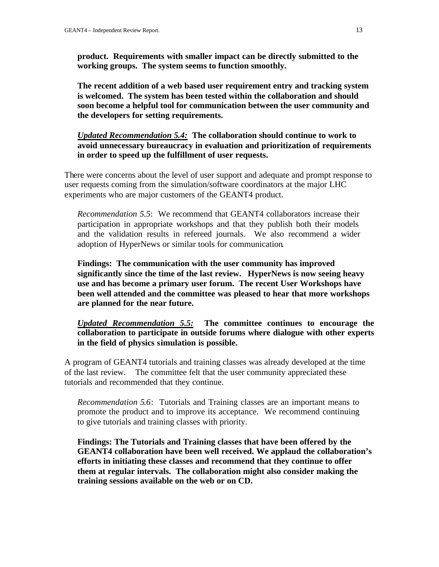**product. Requirements with smaller impact can be directly submitted to the working groups. The system seems to function smoothly.** 

**The recent addition of a web based user requirement entry and tracking system is welcomed. The system has been tested within the collaboration and should soon become a helpful tool for communication between the user community and the developers for setting requirements.** 

*Updated Recommendation 5.4:* **The collaboration should continue to work to avoid unnecessary bureaucracy in evaluation and prioritization of requirements in order to speed up the fulfillment of user requests.** 

There were concerns about the level of user support and adequate and prompt response to user requests coming from the simulation/software coordinators at the major LHC experiments who are major customers of the GEANT4 product.

*Recommendation 5.5*: We recommend that GEANT4 collaborators increase their participation in appropriate workshops and that they publish both their models and the validation results in refereed journals. We also recommend a wider adoption of HyperNews or similar tools for communication.

**Findings: The communication with the user community has improved significantly since the time of the last review. HyperNews is now seeing heavy use and has become a primary user forum. The recent User Workshops have been well attended and the committee was pleased to hear that more workshops are planned for the near future.** 

*Updated Recommendation 5.5:* **The committee continues to encourage the collaboration to participate in outside forums where dialogue with other experts in the field of physics simulation is possible.**

A program of GEANT4 tutorials and training classes was already developed at the time of the last review. The committee felt that the user community appreciated these tutorials and recommended that they continue.

*Recommendation 5.6*: Tutorials and Training classes are an important means to promote the product and to improve its acceptance. We recommend continuing to give tutorials and training classes with priority.

**Findings: The Tutorials and Training classes that have been offered by the GEANT4 collaboration have been well received. We applaud the collaboration's efforts in initiating these classes and recommend that they continue to offer them at regular intervals. The collaboration might also consider making the training sessions available on the web or on CD.**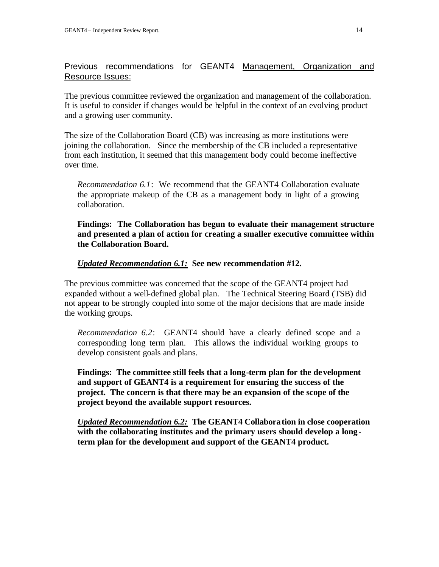# Previous recommendations for GEANT4 Management, Organization and Resource Issues:

The previous committee reviewed the organization and management of the collaboration. It is useful to consider if changes would be helpful in the context of an evolving product and a growing user community.

The size of the Collaboration Board (CB) was increasing as more institutions were joining the collaboration. Since the membership of the CB included a representative from each institution, it seemed that this management body could become ineffective over time.

*Recommendation 6.1*: We recommend that the GEANT4 Collaboration evaluate the appropriate makeup of the CB as a management body in light of a growing collaboration.

**Findings: The Collaboration has begun to evaluate their management structure and presented a plan of action for creating a smaller executive committee within the Collaboration Board.** 

#### *Updated Recommendation 6.1:* **See new recommendation #12.**

The previous committee was concerned that the scope of the GEANT4 project had expanded without a well-defined global plan. The Technical Steering Board (TSB) did not appear to be strongly coupled into some of the major decisions that are made inside the working groups.

*Recommendation 6.2*: GEANT4 should have a clearly defined scope and a corresponding long term plan. This allows the individual working groups to develop consistent goals and plans.

**Findings: The committee still feels that a long-term plan for the development and support of GEANT4 is a requirement for ensuring the success of the project. The concern is that there may be an expansion of the scope of the project beyond the available support resources.** 

*Updated Recommendation 6.2:* **The GEANT4 Collaboration in close cooperation with the collaborating institutes and the primary users should develop a longterm plan for the development and support of the GEANT4 product.**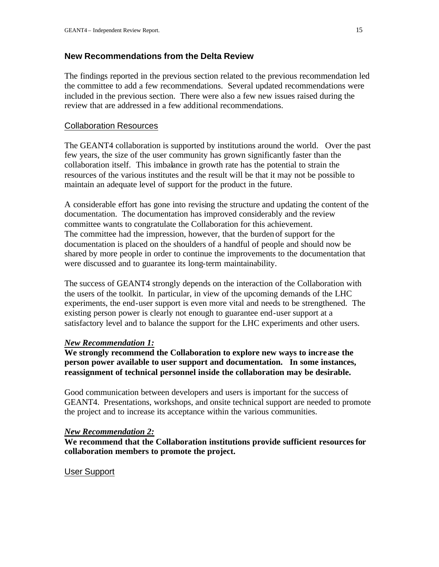# **New Recommendations from the Delta Review**

The findings reported in the previous section related to the previous recommendation led the committee to add a few recommendations. Several updated recommendations were included in the previous section. There were also a few new issues raised during the review that are addressed in a few additional recommendations.

# Collaboration Resources

The GEANT4 collaboration is supported by institutions around the world. Over the past few years, the size of the user community has grown significantly faster than the collaboration itself. This imbalance in growth rate has the potential to strain the resources of the various institutes and the result will be that it may not be possible to maintain an adequate level of support for the product in the future.

A considerable effort has gone into revising the structure and updating the content of the documentation. The documentation has improved considerably and the review committee wants to congratulate the Collaboration for this achievement. The committee had the impression, however, that the burden of support for the documentation is placed on the shoulders of a handful of people and should now be shared by more people in order to continue the improvements to the documentation that were discussed and to guarantee its long-term maintainability.

The success of GEANT4 strongly depends on the interaction of the Collaboration with the users of the toolkit. In particular, in view of the upcoming demands of the LHC experiments, the end-user support is even more vital and needs to be strengthened. The existing person power is clearly not enough to guarantee end-user support at a satisfactory level and to balance the support for the LHC experiments and other users.

#### *New Recommendation 1:*

**We strongly recommend the Collaboration to explore new ways to increase the person power available to user support and documentation. In some instances, reassignment of technical personnel inside the collaboration may be desirable.**

Good communication between developers and users is important for the success of GEANT4. Presentations, workshops, and onsite technical support are needed to promote the project and to increase its acceptance within the various communities.

#### *New Recommendation 2:*

**We recommend that the Collaboration institutions provide sufficient resources for collaboration members to promote the project.**

#### User Support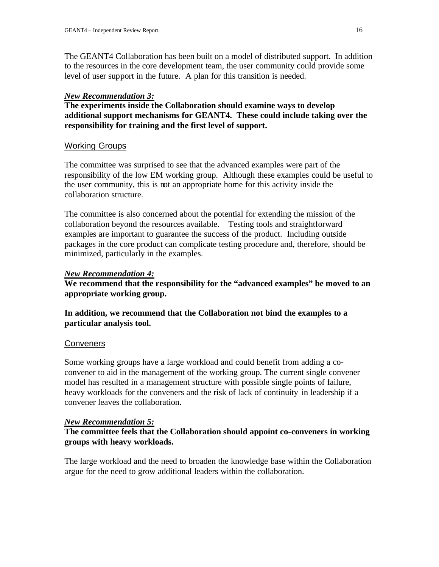The GEANT4 Collaboration has been built on a model of distributed support. In addition to the resources in the core development team, the user community could provide some level of user support in the future. A plan for this transition is needed.

#### *New Recommendation 3:*

**The experiments inside the Collaboration should examine ways to develop additional support mechanisms for GEANT4. These could include taking over the responsibility for training and the first level of support.** 

#### Working Groups

The committee was surprised to see that the advanced examples were part of the responsibility of the low EM working group. Although these examples could be useful to the user community, this is not an appropriate home for this activity inside the collaboration structure.

The committee is also concerned about the potential for extending the mission of the collaboration beyond the resources available. Testing tools and straightforward examples are important to guarantee the success of the product. Including outside packages in the core product can complicate testing procedure and, therefore, should be minimized, particularly in the examples.

#### *New Recommendation 4:*

**We recommend that the responsibility for the "advanced examples" be moved to an appropriate working group.**

**In addition, we recommend that the Collaboration not bind the examples to a particular analysis tool.**

#### **Conveners**

Some working groups have a large workload and could benefit from adding a coconvener to aid in the management of the working group. The current single convener model has resulted in a management structure with possible single points of failure, heavy workloads for the conveners and the risk of lack of continuity in leadership if a convener leaves the collaboration.

#### *New Recommendation 5:*

# **The committee feels that the Collaboration should appoint co-conveners in working groups with heavy workloads.**

The large workload and the need to broaden the knowledge base within the Collaboration argue for the need to grow additional leaders within the collaboration.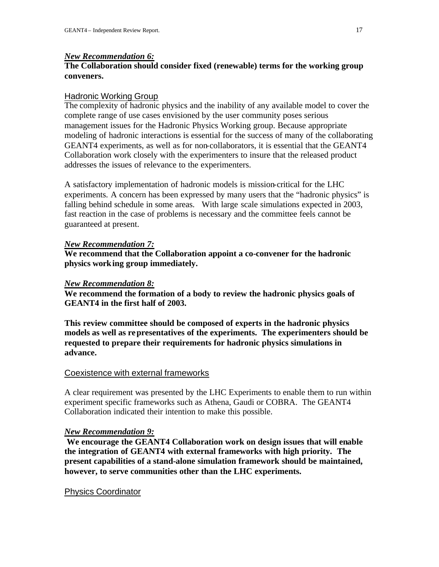#### *New Recommendation 6:*

# **The Collaboration should consider fixed (renewable) terms for the working group conveners.**

#### Hadronic Working Group

The complexity of hadronic physics and the inability of any available model to cover the complete range of use cases envisioned by the user community poses serious management issues for the Hadronic Physics Working group. Because appropriate modeling of hadronic interactions is essential for the success of many of the collaborating GEANT4 experiments, as well as for non-collaborators, it is essential that the GEANT4 Collaboration work closely with the experimenters to insure that the released product addresses the issues of relevance to the experimenters.

A satisfactory implementation of hadronic models is mission-critical for the LHC experiments. A concern has been expressed by many users that the "hadronic physics" is falling behind schedule in some areas. With large scale simulations expected in 2003, fast reaction in the case of problems is necessary and the committee feels cannot be guaranteed at present.

#### *New Recommendation 7:*

**We recommend that the Collaboration appoint a co-convener for the hadronic physics working group immediately.**

#### *New Recommendation 8:*

**We recommend the formation of a body to review the hadronic physics goals of GEANT4 in the first half of 2003.** 

**This review committee should be composed of experts in the hadronic physics models as well as representatives of the experiments. The experimenters should be requested to prepare their requirements for hadronic physics simulations in advance.** 

#### Coexistence with external frameworks

A clear requirement was presented by the LHC Experiments to enable them to run within experiment specific frameworks such as Athena, Gaudi or COBRA. The GEANT4 Collaboration indicated their intention to make this possible.

#### *New Recommendation 9:*

 **We encourage the GEANT4 Collaboration work on design issues that will enable the integration of GEANT4 with external frameworks with high priority. The present capabilities of a stand-alone simulation framework should be maintained, however, to serve communities other than the LHC experiments.** 

#### Physics Coordinator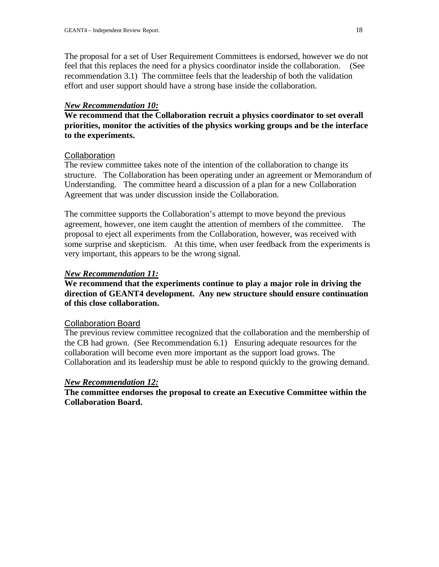The proposal for a set of User Requirement Committees is endorsed, however we do not feel that this replaces the need for a physics coordinator inside the collaboration. (See recommendation 3.1) The committee feels that the leadership of both the validation effort and user support should have a strong base inside the collaboration.

#### *New Recommendation 10:*

**We recommend that the Collaboration recruit a physics coordinator to set overall priorities, monitor the activities of the physics working groups and be the interface to the experiments.**

#### **Collaboration**

The review committee takes note of the intention of the collaboration to change its structure. The Collaboration has been operating under an agreement or Memorandum of Understanding. The committee heard a discussion of a plan for a new Collaboration Agreement that was under discussion inside the Collaboration.

The committee supports the Collaboration's attempt to move beyond the previous agreement, however, one item caught the attention of members of the committee. The proposal to eject all experiments from the Collaboration, however, was received with some surprise and skepticism. At this time, when user feedback from the experiments is very important, this appears to be the wrong signal.

# *New Recommendation 11:*

# **We recommend that the experiments continue to play a major role in driving the direction of GEANT4 development. Any new structure should ensure continuation of this close collaboration.**

#### Collaboration Board

The previous review committee recognized that the collaboration and the membership of the CB had grown. (See Recommendation 6.1) Ensuring adequate resources for the collaboration will become even more important as the support load grows. The Collaboration and its leadership must be able to respond quickly to the growing demand.

#### *New Recommendation 12:*

**The committee endorses the proposal to create an Executive Committee within the Collaboration Board.**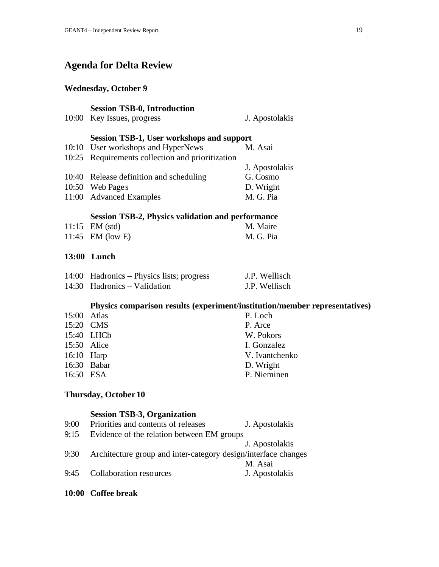# **Agenda for Delta Review**

#### **Wednesday, October 9**

# **Session TSB-0, Introduction** 10:00 Key Issues, progress J. Apostolakis **Session TSB-1, User workshops and support** 10:10 User workshops and HyperNews M. Asai 10:25 Requirements collection and prioritization J. Apostolakis 10:40 Release definition and scheduling G. Cosmo 10:50 Web Pages D. Wright 11:00 Advanced Examples M. G. Pia **Session TSB-2, Physics validation and performance** 11:15 EM (std) M. Maire 11:45 EM (low E) M. G. Pia **13:00 Lunch** 14:00 Hadronics – Physics lists; progress J.P. Wellisch 14:30 Hadronics – Validation J.P. Wellisch **Physics comparison results (experiment/institution/member representatives)** 15:00 Atlas P. Loch 15:20 CMS P. Arce 15:40 LHCb W. Pokors 15:50 Alice I. Gonzalez 16:10 Harp V. Ivantchenko 16:30 Babar D. Wright 16:50 ESA P. Nieminen

#### **Thursday, October 10**

#### **Session TSB-3, Organization**

| 9:00 | Priorities and contents of releases                            | J. Apostolakis |  |
|------|----------------------------------------------------------------|----------------|--|
| 9:15 | Evidence of the relation between EM groups                     |                |  |
|      |                                                                | J. Apostolakis |  |
| 9:30 | Architecture group and inter-category design/interface changes |                |  |
|      |                                                                | M. Asai        |  |
| 9:45 | Collaboration resources                                        | J. Apostolakis |  |
|      |                                                                |                |  |

**10:00 Coffee break**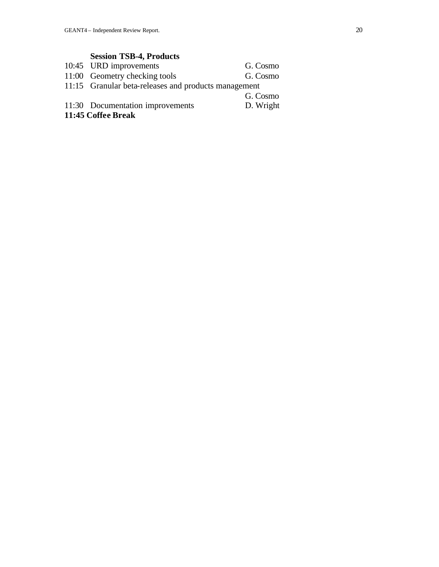# **Session TSB-4, Products**

|                    | 10:45 URD improvements                               | G. Cosmo  |  |  |
|--------------------|------------------------------------------------------|-----------|--|--|
|                    | 11:00 Geometry checking tools                        | G. Cosmo  |  |  |
|                    | 11:15 Granular beta-releases and products management |           |  |  |
|                    |                                                      | G. Cosmo  |  |  |
|                    | 11:30 Documentation improvements                     | D. Wright |  |  |
| 11:45 Coffee Break |                                                      |           |  |  |